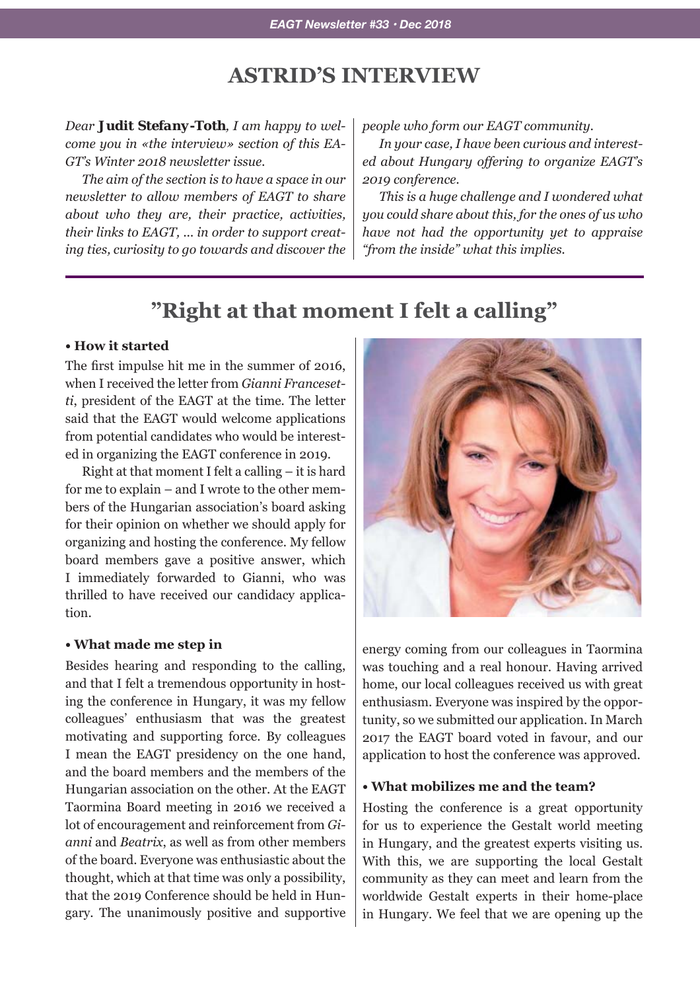# **ASTRID'S INTERVIEW**

*Dear Judit Stefany-Toth, I am happy to welcome you in «the interview» section of this EA-GT's Winter 2018 newsletter issue.*

*The aim of the section is to have a space in our newsletter to allow members of EAGT to share about who they are, their practice, activities, their links to EAGT, ... in order to support creating ties, curiosity to go towards and discover the*  *people who form our EAGT community.*

*In your case, I have been curious and interested about Hungary offering to organize EAGT's 2019 conference.*

*This is a huge challenge and I wondered what you could share about this, for the ones of us who have not had the opportunity yet to appraise "from the inside" what this implies.*

# **"Right at that moment I felt a calling"**

#### **• How it started**

The first impulse hit me in the summer of 2016, when I received the letter from *Gianni Francesetti*, president of the EAGT at the time. The letter said that the EAGT would welcome applications from potential candidates who would be interested in organizing the EAGT conference in 2019.

Right at that moment I felt a calling – it is hard for me to explain – and I wrote to the other members of the Hungarian association's board asking for their opinion on whether we should apply for organizing and hosting the conference. My fellow board members gave a positive answer, which I immediately forwarded to Gianni, who was thrilled to have received our candidacy application.

#### **• What made me step in**

Besides hearing and responding to the calling, and that I felt a tremendous opportunity in hosting the conference in Hungary, it was my fellow colleagues' enthusiasm that was the greatest motivating and supporting force. By colleagues I mean the EAGT presidency on the one hand, and the board members and the members of the Hungarian association on the other. At the EAGT Taormina Board meeting in 2016 we received a lot of encouragement and reinforcement from *Gianni* and *Beatrix*, as well as from other members of the board. Everyone was enthusiastic about the thought, which at that time was only a possibility, that the 2019 Conference should be held in Hungary. The unanimously positive and supportive



energy coming from our colleagues in Taormina was touching and a real honour. Having arrived home, our local colleagues received us with great enthusiasm. Everyone was inspired by the opportunity, so we submitted our application. In March 2017 the EAGT board voted in favour, and our application to host the conference was approved.

### **• What mobilizes me and the team?**

Hosting the conference is a great opportunity for us to experience the Gestalt world meeting in Hungary, and the greatest experts visiting us. With this, we are supporting the local Gestalt community as they can meet and learn from the worldwide Gestalt experts in their home-place in Hungary. We feel that we are opening up the